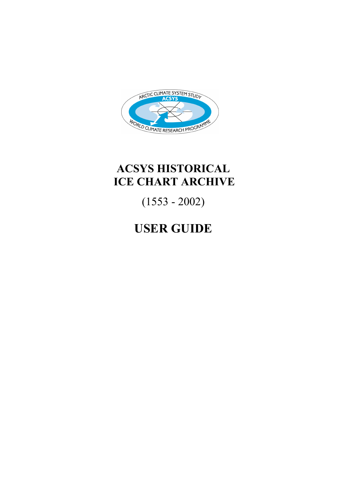

# **ACSYS HISTORICAL ICE CHART ARCHIVE**

(1553 - 2002)

# **USER GUIDE**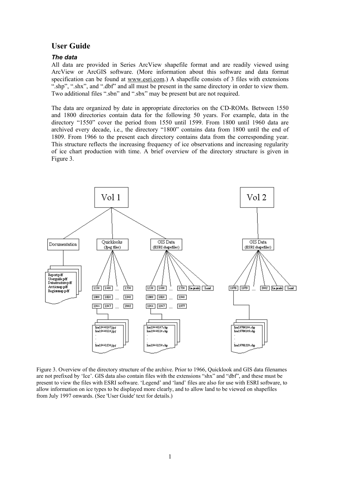# **User Guide**

#### *The data*

All data are provided in Series ArcView shapefile format and are readily viewed using ArcView or ArcGIS software. (More information about this software and data format specification can be found at www.esri.com.) A shapefile consists of 3 files with extensions ".shp", ".shx", and ".dbf" and all must be present in the same directory in order to view them. Two additional files ".sbn" and ".sbx" may be present but are not required.

The data are organized by date in appropriate directories on the CD-ROMs. Between 1550 and 1800 directories contain data for the following 50 years. For example, data in the directory "1550" cover the period from 1550 until 1599. From 1800 until 1960 data are archived every decade, i.e., the directory "1800" contains data from 1800 until the end of 1809. From 1966 to the present each directory contains data from the corresponding year. This structure reflects the increasing frequency of ice observations and increasing regularity of ice chart production with time. A brief overview of the directory structure is given in Figure 3.



Figure 3. Overview of the directory structure of the archive. Prior to 1966, Quicklook and GIS data filenames are not prefixed by 'Ice'. GIS data also contain files with the extensions "shx" and "dbf", and these must be present to view the files with ESRI software. 'Legend' and 'land' files are also for use with ESRI software, to allow information on ice types to be displayed more clearly, and to allow land to be viewed on shapefiles from July 1997 onwards. (See 'User Guide' text for details.)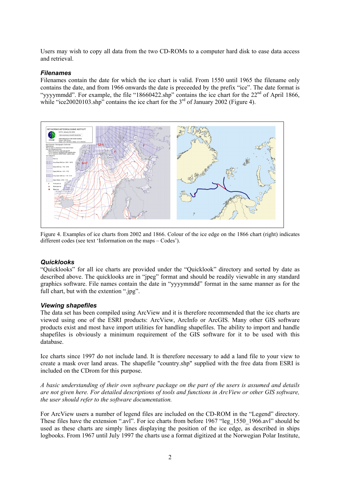Users may wish to copy all data from the two CD-ROMs to a computer hard disk to ease data access and retrieval.

#### *Filenames*

Filenames contain the date for which the ice chart is valid. From 1550 until 1965 the filename only contains the date, and from 1966 onwards the date is preceeded by the prefix "ice". The date format is "yyyymmdd". For example, the file "18660422.shp" contains the ice chart for the  $22<sup>nd</sup>$  of April 1866, while "ice20020103.shp" contains the ice chart for the  $3<sup>rd</sup>$  of January 2002 (Figure 4).



Figure 4. Examples of ice charts from 2002 and 1866. Colour of the ice edge on the 1866 chart (right) indicates different codes (see text 'Information on the maps – Codes').

# *Quicklooks*

"Quicklooks" for all ice charts are provided under the "Quicklook" directory and sorted by date as described above. The quicklooks are in "jpeg" format and should be readily viewable in any standard graphics software. File names contain the date in "yyyymmdd" format in the same manner as for the full chart, but with the extention ".jpg".

# *Viewing shapefiles*

The data set has been compiled using ArcView and it is therefore recommended that the ice charts are viewed using one of the ESRI products: ArcView, ArcInfo or ArcGIS. Many other GIS software products exist and most have import utilities for handling shapefiles. The ability to import and handle shapefiles is obviously a minimum requirement of the GIS software for it to be used with this database.

Ice charts since 1997 do not include land. It is therefore necessary to add a land file to your view to create a mask over land areas. The shapefile "country.shp" supplied with the free data from ESRI is included on the CDrom for this purpose.

*A basic understanding of their own software package on the part of the users is assumed and details are not given here. For detailed descriptions of tools and functions in ArcView or other GIS software, the user should refer to the software documentation.* 

For ArcView users a number of legend files are included on the CD-ROM in the "Legend" directory. These files have the extension ".avl". For ice charts from before 1967 "leg\_1550\_1966.avl" should be used as these charts are simply lines displaying the position of the ice edge, as described in ships logbooks. From 1967 until July 1997 the charts use a format digitized at the Norwegian Polar Institute,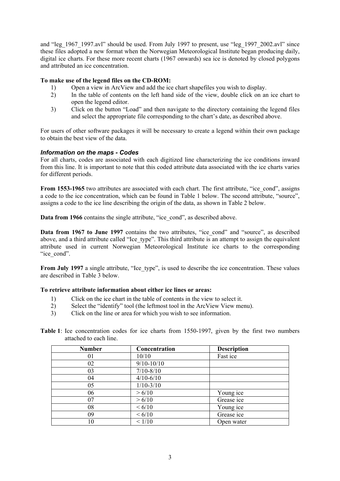and "leg\_1967\_1997.avl" should be used. From July 1997 to present, use "leg\_1997\_2002.avl" since these files adopted a new format when the Norwegian Meteorological Institute began producing daily, digital ice charts. For these more recent charts (1967 onwards) sea ice is denoted by closed polygons and attributed an ice concentration.

### **To make use of the legend files on the CD-ROM:**

- 1) Open a view in ArcView and add the ice chart shapefiles you wish to display.
- 2) In the table of contents on the left hand side of the view, double click on an ice chart to open the legend editor.
- 3) Click on the button "Load" and then navigate to the directory containing the legend files and select the appropriate file corresponding to the chart's date, as described above.

For users of other software packages it will be necessary to create a legend within their own package to obtain the best view of the data.

### *Information on the maps - Codes*

For all charts, codes are associated with each digitized line characterizing the ice conditions inward from this line. It is important to note that this coded attribute data associated with the ice charts varies for different periods.

**From 1553-1965** two attributes are associated with each chart. The first attribute, "ice cond", assigns a code to the ice concentration, which can be found in Table 1 below. The second attribute, "source", assigns a code to the ice line describing the origin of the data, as shown in Table 2 below.

**Data from 1966** contains the single attribute, "ice cond", as described above.

**Data from 1967 to June 1997** contains the two attributes, "ice cond" and "source", as described above, and a third attribute called "Ice type". This third attribute is an attempt to assign the equivalent attribute used in current Norwegian Meteorological Institute ice charts to the corresponding "ice\_cond".

**From July 1997** a single attribute, "Ice type", is used to describe the ice concentration. These values are described in Table 3 below.

### **To retrieve attribute information about either ice lines or areas:**

- 1) Click on the ice chart in the table of contents in the view to select it.
- 2) Select the "identify" tool (the leftmost tool in the ArcView View menu).
- 3) Click on the line or area for which you wish to see information.

|  | <b>Table 1</b> : Ice concentration codes for ice charts from 1550-1997, given by the first two numbers |  |  |  |  |  |  |
|--|--------------------------------------------------------------------------------------------------------|--|--|--|--|--|--|
|  | attached to each line.                                                                                 |  |  |  |  |  |  |

| <b>Number</b> | Concentration  | <b>Description</b> |
|---------------|----------------|--------------------|
| 01            | 10/10          | Fast ice           |
| 02            | $9/10 - 10/10$ |                    |
| 03            | $7/10 - 8/10$  |                    |
| 04            | $4/10 - 6/10$  |                    |
| 05            | $1/10-3/10$    |                    |
| 06            | > 6/10         | Young ice          |
| 07            | > 6/10         | Grease ice         |
| 08            | < 6/10         | Young ice          |
| 09            | ${}< 6/10$     | Grease ice         |
| 10            | < 1/10         | Open water         |